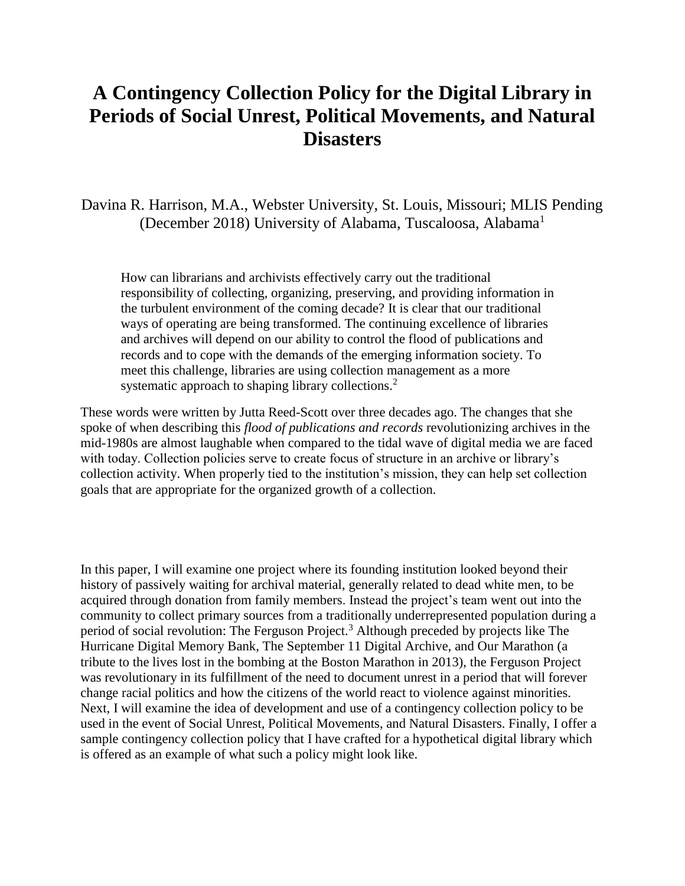# **A Contingency Collection Policy for the Digital Library in Periods of Social Unrest, Political Movements, and Natural Disasters**

Davina R. Harrison, M.A., Webster University, St. Louis, Missouri; MLIS Pending (December 2018) University of Alabama, Tuscaloosa, Alabama<sup>1</sup>

How can librarians and archivists effectively carry out the traditional responsibility of collecting, organizing, preserving, and providing information in the turbulent environment of the coming decade? It is clear that our traditional ways of operating are being transformed. The continuing excellence of libraries and archives will depend on our ability to control the flood of publications and records and to cope with the demands of the emerging information society. To meet this challenge, libraries are using collection management as a more systematic approach to shaping library collections.<sup>2</sup>

These words were written by Jutta Reed-Scott over three decades ago. The changes that she spoke of when describing this *flood of publications and records* revolutionizing archives in the mid-1980s are almost laughable when compared to the tidal wave of digital media we are faced with today. Collection policies serve to create focus of structure in an archive or library's collection activity. When properly tied to the institution's mission, they can help set collection goals that are appropriate for the organized growth of a collection.

In this paper, I will examine one project where its founding institution looked beyond their history of passively waiting for archival material, generally related to dead white men, to be acquired through donation from family members. Instead the project's team went out into the community to collect primary sources from a traditionally underrepresented population during a period of social revolution: The Ferguson Project.<sup>3</sup> Although preceded by projects like The Hurricane Digital Memory Bank, The September 11 Digital Archive, and Our Marathon (a tribute to the lives lost in the bombing at the Boston Marathon in 2013), the Ferguson Project was revolutionary in its fulfillment of the need to document unrest in a period that will forever change racial politics and how the citizens of the world react to violence against minorities. Next, I will examine the idea of development and use of a contingency collection policy to be used in the event of Social Unrest, Political Movements, and Natural Disasters. Finally, I offer a sample contingency collection policy that I have crafted for a hypothetical digital library which is offered as an example of what such a policy might look like.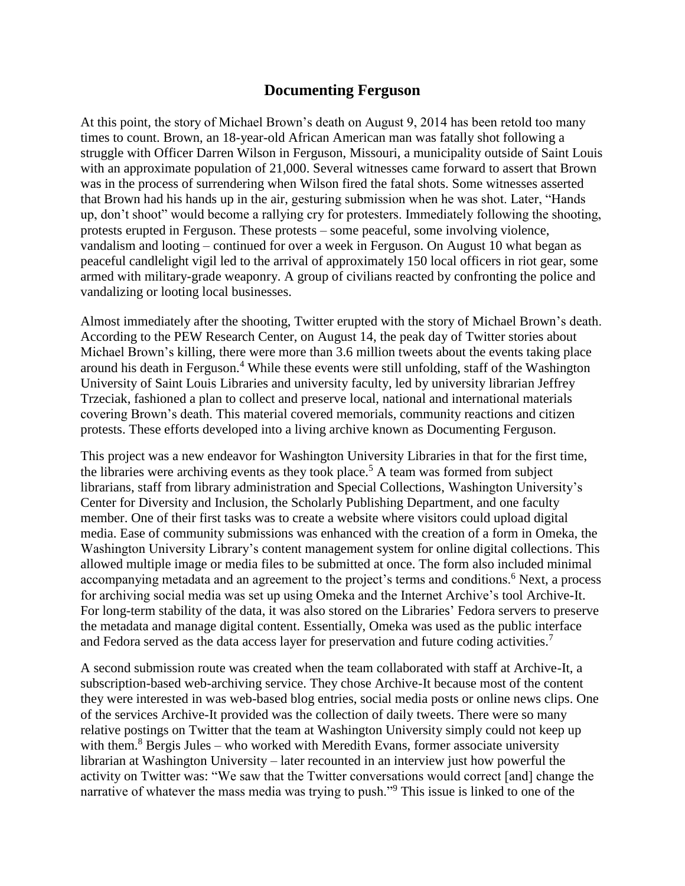### **Documenting Ferguson**

At this point, the story of Michael Brown's death on August 9, 2014 has been retold too many times to count. Brown, an 18-year-old African American man was fatally shot following a struggle with Officer Darren Wilson in Ferguson, Missouri, a municipality outside of Saint Louis with an approximate population of 21,000. Several witnesses came forward to assert that Brown was in the process of surrendering when Wilson fired the fatal shots. Some witnesses asserted that Brown had his hands up in the air, gesturing submission when he was shot. Later, "Hands up, don't shoot" would become a rallying cry for protesters. Immediately following the shooting, protests erupted in Ferguson. These protests – some peaceful, some involving violence, vandalism and looting – continued for over a week in Ferguson. On August 10 what began as peaceful candlelight vigil led to the arrival of approximately 150 local officers in riot gear, some armed with military-grade weaponry. A group of civilians reacted by confronting the police and vandalizing or looting local businesses.

Almost immediately after the shooting, Twitter erupted with the story of Michael Brown's death. According to the PEW Research Center, on August 14, the peak day of Twitter stories about Michael Brown's killing, there were more than 3.6 million tweets about the events taking place around his death in Ferguson.<sup>4</sup> While these events were still unfolding, staff of the Washington University of Saint Louis Libraries and university faculty, led by university librarian Jeffrey Trzeciak, fashioned a plan to collect and preserve local, national and international materials covering Brown's death. This material covered memorials, community reactions and citizen protests. These efforts developed into a living archive known as Documenting Ferguson.

This project was a new endeavor for Washington University Libraries in that for the first time, the libraries were archiving events as they took place.<sup>5</sup> A team was formed from subject librarians, staff from library administration and Special Collections, Washington University's Center for Diversity and Inclusion, the Scholarly Publishing Department, and one faculty member. One of their first tasks was to create a website where visitors could upload digital media. Ease of community submissions was enhanced with the creation of a form in Omeka, the Washington University Library's content management system for online digital collections. This allowed multiple image or media files to be submitted at once. The form also included minimal accompanying metadata and an agreement to the project's terms and conditions.<sup>6</sup> Next, a process for archiving social media was set up using Omeka and the Internet Archive's tool Archive-It. For long-term stability of the data, it was also stored on the Libraries' Fedora servers to preserve the metadata and manage digital content. Essentially, Omeka was used as the public interface and Fedora served as the data access layer for preservation and future coding activities.<sup>7</sup>

A second submission route was created when the team collaborated with staff at Archive-It, a subscription-based web-archiving service. They chose Archive-It because most of the content they were interested in was web-based blog entries, social media posts or online news clips. One of the services Archive-It provided was the collection of daily tweets. There were so many relative postings on Twitter that the team at Washington University simply could not keep up with them. $8$  Bergis Jules – who worked with Meredith Evans, former associate university librarian at Washington University – later recounted in an interview just how powerful the activity on Twitter was: "We saw that the Twitter conversations would correct [and] change the narrative of whatever the mass media was trying to push."<sup>9</sup> This issue is linked to one of the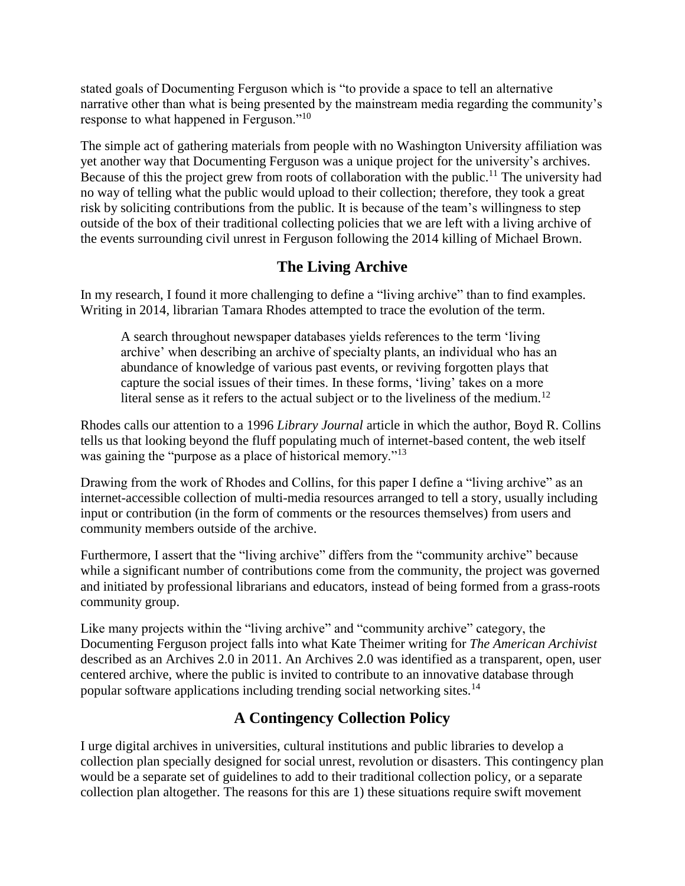stated goals of Documenting Ferguson which is "to provide a space to tell an alternative narrative other than what is being presented by the mainstream media regarding the community's response to what happened in Ferguson."<sup>10</sup>

The simple act of gathering materials from people with no Washington University affiliation was yet another way that Documenting Ferguson was a unique project for the university's archives. Because of this the project grew from roots of collaboration with the public.<sup>11</sup> The university had no way of telling what the public would upload to their collection; therefore, they took a great risk by soliciting contributions from the public. It is because of the team's willingness to step outside of the box of their traditional collecting policies that we are left with a living archive of the events surrounding civil unrest in Ferguson following the 2014 killing of Michael Brown.

# **The Living Archive**

In my research, I found it more challenging to define a "living archive" than to find examples. Writing in 2014, librarian Tamara Rhodes attempted to trace the evolution of the term.

A search throughout newspaper databases yields references to the term 'living archive' when describing an archive of specialty plants, an individual who has an abundance of knowledge of various past events, or reviving forgotten plays that capture the social issues of their times. In these forms, 'living' takes on a more literal sense as it refers to the actual subject or to the liveliness of the medium.<sup>12</sup>

Rhodes calls our attention to a 1996 *Library Journal* article in which the author, Boyd R. Collins tells us that looking beyond the fluff populating much of internet-based content, the web itself was gaining the "purpose as a place of historical memory."<sup>13</sup>

Drawing from the work of Rhodes and Collins, for this paper I define a "living archive" as an internet-accessible collection of multi-media resources arranged to tell a story, usually including input or contribution (in the form of comments or the resources themselves) from users and community members outside of the archive.

Furthermore, I assert that the "living archive" differs from the "community archive" because while a significant number of contributions come from the community, the project was governed and initiated by professional librarians and educators, instead of being formed from a grass-roots community group.

Like many projects within the "living archive" and "community archive" category, the Documenting Ferguson project falls into what Kate Theimer writing for *The American Archivist*  described as an Archives 2.0 in 2011. An Archives 2.0 was identified as a transparent, open, user centered archive, where the public is invited to contribute to an innovative database through popular software applications including trending social networking sites.<sup>14</sup>

# **A Contingency Collection Policy**

I urge digital archives in universities, cultural institutions and public libraries to develop a collection plan specially designed for social unrest, revolution or disasters. This contingency plan would be a separate set of guidelines to add to their traditional collection policy, or a separate collection plan altogether. The reasons for this are 1) these situations require swift movement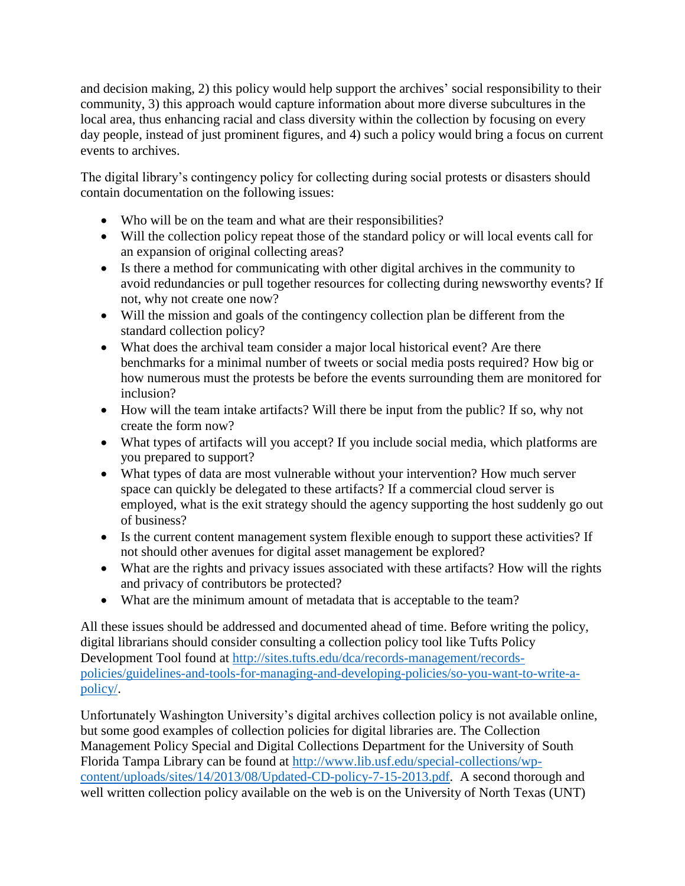and decision making, 2) this policy would help support the archives' social responsibility to their community, 3) this approach would capture information about more diverse subcultures in the local area, thus enhancing racial and class diversity within the collection by focusing on every day people, instead of just prominent figures, and 4) such a policy would bring a focus on current events to archives.

The digital library's contingency policy for collecting during social protests or disasters should contain documentation on the following issues:

- Who will be on the team and what are their responsibilities?
- Will the collection policy repeat those of the standard policy or will local events call for an expansion of original collecting areas?
- Is there a method for communicating with other digital archives in the community to avoid redundancies or pull together resources for collecting during newsworthy events? If not, why not create one now?
- Will the mission and goals of the contingency collection plan be different from the standard collection policy?
- What does the archival team consider a major local historical event? Are there benchmarks for a minimal number of tweets or social media posts required? How big or how numerous must the protests be before the events surrounding them are monitored for inclusion?
- How will the team intake artifacts? Will there be input from the public? If so, why not create the form now?
- What types of artifacts will you accept? If you include social media, which platforms are you prepared to support?
- What types of data are most vulnerable without your intervention? How much server space can quickly be delegated to these artifacts? If a commercial cloud server is employed, what is the exit strategy should the agency supporting the host suddenly go out of business?
- Is the current content management system flexible enough to support these activities? If not should other avenues for digital asset management be explored?
- What are the rights and privacy issues associated with these artifacts? How will the rights and privacy of contributors be protected?
- What are the minimum amount of metadata that is acceptable to the team?

All these issues should be addressed and documented ahead of time. Before writing the policy, digital librarians should consider consulting a collection policy tool like Tufts Policy Development Tool found at [http://sites.tufts.edu/dca/records-management/records](http://sites.tufts.edu/dca/records-management/records-policies/guidelines-and-tools-for-managing-and-developing-policies/so-you-want-to-write-a-policy/)[policies/guidelines-and-tools-for-managing-and-developing-policies/so-you-want-to-write-a](http://sites.tufts.edu/dca/records-management/records-policies/guidelines-and-tools-for-managing-and-developing-policies/so-you-want-to-write-a-policy/)[policy/.](http://sites.tufts.edu/dca/records-management/records-policies/guidelines-and-tools-for-managing-and-developing-policies/so-you-want-to-write-a-policy/)

Unfortunately Washington University's digital archives collection policy is not available online, but some good examples of collection policies for digital libraries are. The Collection Management Policy Special and Digital Collections Department for the University of South Florida Tampa Library can be found at [http://www.lib.usf.edu/special-collections/wp](http://www.lib.usf.edu/special-collections/wp-content/uploads/sites/14/2013/08/Updated-CD-policy-7-15-2013.pdf)[content/uploads/sites/14/2013/08/Updated-CD-policy-7-15-2013.pdf.](http://www.lib.usf.edu/special-collections/wp-content/uploads/sites/14/2013/08/Updated-CD-policy-7-15-2013.pdf) A second thorough and well written collection policy available on the web is on the University of North Texas (UNT)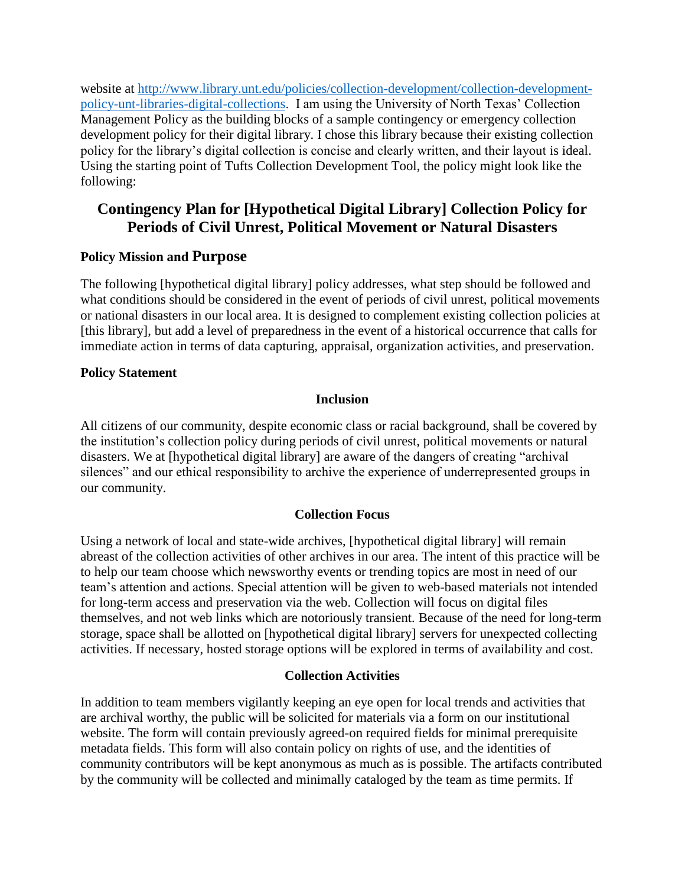website at [http://www.library.unt.edu/policies/collection-development/collection-development](http://www.library.unt.edu/policies/collection-development/collection-development-policy-unt-libraries-digital-collections)[policy-unt-libraries-digital-collections.](http://www.library.unt.edu/policies/collection-development/collection-development-policy-unt-libraries-digital-collections) I am using the University of North Texas' Collection Management Policy as the building blocks of a sample contingency or emergency collection development policy for their digital library. I chose this library because their existing collection policy for the library's digital collection is concise and clearly written, and their layout is ideal. Using the starting point of Tufts Collection Development Tool, the policy might look like the following:

## **Contingency Plan for [Hypothetical Digital Library] Collection Policy for Periods of Civil Unrest, Political Movement or Natural Disasters**

#### **Policy Mission and Purpose**

The following [hypothetical digital library] policy addresses, what step should be followed and what conditions should be considered in the event of periods of civil unrest, political movements or national disasters in our local area. It is designed to complement existing collection policies at [this library], but add a level of preparedness in the event of a historical occurrence that calls for immediate action in terms of data capturing, appraisal, organization activities, and preservation.

#### **Policy Statement**

#### **Inclusion**

All citizens of our community, despite economic class or racial background, shall be covered by the institution's collection policy during periods of civil unrest, political movements or natural disasters. We at [hypothetical digital library] are aware of the dangers of creating "archival silences" and our ethical responsibility to archive the experience of underrepresented groups in our community.

#### **Collection Focus**

Using a network of local and state-wide archives, [hypothetical digital library] will remain abreast of the collection activities of other archives in our area. The intent of this practice will be to help our team choose which newsworthy events or trending topics are most in need of our team's attention and actions. Special attention will be given to web-based materials not intended for long-term access and preservation via the web. Collection will focus on digital files themselves, and not web links which are notoriously transient. Because of the need for long-term storage, space shall be allotted on [hypothetical digital library] servers for unexpected collecting activities. If necessary, hosted storage options will be explored in terms of availability and cost.

#### **Collection Activities**

In addition to team members vigilantly keeping an eye open for local trends and activities that are archival worthy, the public will be solicited for materials via a form on our institutional website. The form will contain previously agreed-on required fields for minimal prerequisite metadata fields. This form will also contain policy on rights of use, and the identities of community contributors will be kept anonymous as much as is possible. The artifacts contributed by the community will be collected and minimally cataloged by the team as time permits. If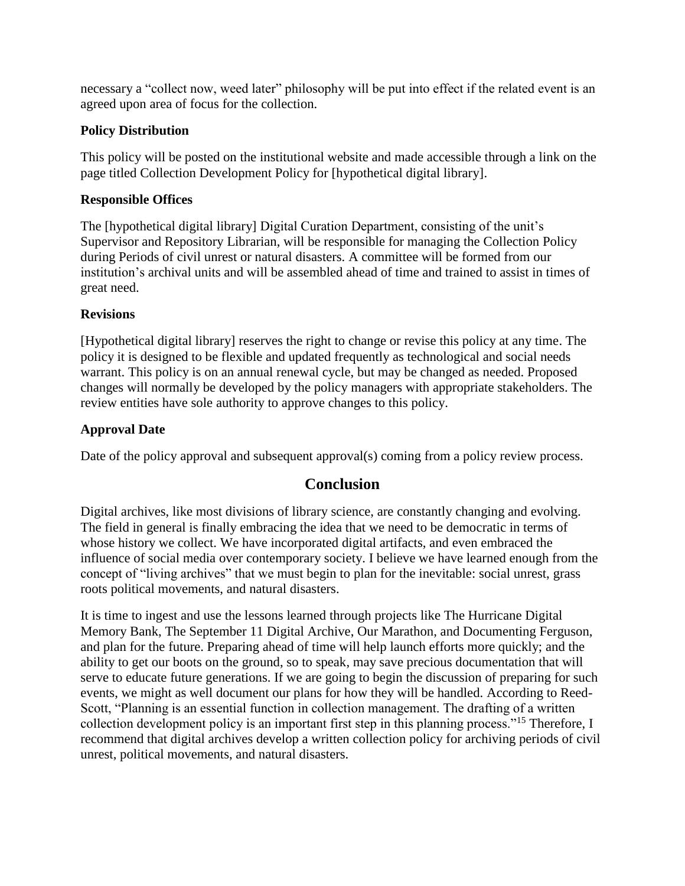necessary a "collect now, weed later" philosophy will be put into effect if the related event is an agreed upon area of focus for the collection.

#### **Policy Distribution**

This policy will be posted on the institutional website and made accessible through a link on the page titled Collection Development Policy for [hypothetical digital library].

#### **Responsible Offices**

The [hypothetical digital library] Digital Curation Department, consisting of the unit's Supervisor and Repository Librarian, will be responsible for managing the Collection Policy during Periods of civil unrest or natural disasters. A committee will be formed from our institution's archival units and will be assembled ahead of time and trained to assist in times of great need.

#### **Revisions**

[Hypothetical digital library] reserves the right to change or revise this policy at any time. The policy it is designed to be flexible and updated frequently as technological and social needs warrant. This policy is on an annual renewal cycle, but may be changed as needed. Proposed changes will normally be developed by the policy managers with appropriate stakeholders. The review entities have sole authority to approve changes to this policy.

#### **Approval Date**

Date of the policy approval and subsequent approval(s) coming from a policy review process.

### **Conclusion**

Digital archives, like most divisions of library science, are constantly changing and evolving. The field in general is finally embracing the idea that we need to be democratic in terms of whose history we collect. We have incorporated digital artifacts, and even embraced the influence of social media over contemporary society. I believe we have learned enough from the concept of "living archives" that we must begin to plan for the inevitable: social unrest, grass roots political movements, and natural disasters.

It is time to ingest and use the lessons learned through projects like The Hurricane Digital Memory Bank, The September 11 Digital Archive, Our Marathon, and Documenting Ferguson, and plan for the future. Preparing ahead of time will help launch efforts more quickly; and the ability to get our boots on the ground, so to speak, may save precious documentation that will serve to educate future generations. If we are going to begin the discussion of preparing for such events, we might as well document our plans for how they will be handled. According to Reed-Scott, "Planning is an essential function in collection management. The drafting of a written collection development policy is an important first step in this planning process."<sup>15</sup> Therefore, I recommend that digital archives develop a written collection policy for archiving periods of civil unrest, political movements, and natural disasters.